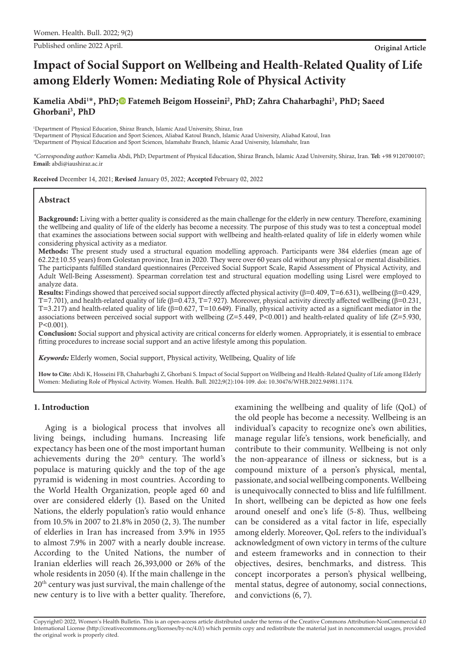Published online 2022 April. **Original Article**

# **Impact of Social Support on Wellbeing and Health-Related Quality of Life among Elderly Women: Mediating Role of Physical Activity**

Kamelia Abdi<sup>1\*</sup>, PhD;<sup>®</sup> Fatemeh Beigom Hosseini<sup>2</sup>, PhD[;](https://orcid.org/0000-0002-0009-5228) Zahra Chaharbaghi<sup>3</sup>, PhD; Saeed Ghorbani3 , PhD

1 Department of Physical Education, Shiraz Branch, Islamic Azad University, Shiraz, Iran 2 Department of Physical Education and Sport Sciences, Aliabad Katoul Branch, Islamic Azad University, Aliabad Katoul, Iran 3 Department of Physical Education and Sport Sciences, Islamshahr Branch, Islamic Azad University, Islamshahr, Iran

\*Corresponding author: Kamelia Abdi, PhD; Department of Physical Education, Shiraz Branch, Islamic Azad University, Shiraz, Iran. **Tel:** +98 9120700107; **Email:** abdi@iaushiraz.ac.ir

Received December 14, 2021; Revised January 05, 2022; Accepted February 02, 2022

### **Abstract**

Background: Living with a better quality is considered as the main challenge for the elderly in new century. Therefore, examining the wellbeing and quality of life of the elderly has become a necessity. The purpose of this study was to test a conceptual model that examines the associations between social support with wellbeing and health-related quality of life in elderly women while considering physical activity as a mediator.

Methods: The present study used a structural equation modelling approach. Participants were 384 elderlies (mean age of 62.22±10.55 years) from Golestan province, Iran in 2020. They were over 60 years old without any physical or mental disabilities. The participants fulfilled standard questionnaires (Perceived Social Support Scale, Rapid Assessment of Physical Activity, and Adult Well-Being Assessment). Spearman correlation test and structural equation modelling using Lisrel were employed to analyze data.

Results: Findings showed that perceived social support directly affected physical activity ( $\beta$ =0.409, T=6.631), wellbeing ( $\beta$ =0.429, T=7.701), and health-related quality of life ( $\beta$ =0.473, T=7.927). Moreover, physical activity directly affected wellbeing ( $\beta$ =0.231, T=3.217) and health-related quality of life (β=0.627, T=10.649). Finally, physical activity acted as a significant mediator in the associations between perceived social support with wellbeing  $(Z=5.449, P<0.001)$  and health-related quality of life (Z=5.930, P<0.001).

Conclusion: Social support and physical activity are critical concerns for elderly women. Appropriately, it is essential to embrace fitting procedures to increase social support and an active lifestyle among this population.

*Keywords:* Elderly women, Social support, Physical activity, Wellbeing, Quality of life

**How to Cite:** Abdi K, Hosseini FB, Chaharbaghi Z, Ghorbani S. Impact of Social Support on Wellbeing and Health-Related Quality of Life among Elderly Women: Mediating Role of Physical Activity. Women. Health. Bull. 2022;9(2):104-109. doi: 10.30476/WHB.2022.94981.1174.

## **1. Introduction**

Aging is a biological process that involves all living beings, including humans. Increasing life expectancy has been one of the most important human achievements during the 20<sup>th</sup> century. The world's populace is maturing quickly and the top of the age pyramid is widening in most countries. According to the World Health Organization, people aged 60 and over are considered elderly (1). Based on the United Nations, the elderly population's ratio would enhance from 10.5% in 2007 to 21.8% in 2050 (2, 3). The number of elderlies in Iran has increased from 3.9% in 1955 to almost 7.9% in 2007 with a nearly double increase. According to the United Nations, the number of Iranian elderlies will reach 26,393,000 or 26% of the whole residents in 2050 (4). If the main challenge in the 20<sup>th</sup> century was just survival, the main challenge of the new century is to live with a better quality. Therefore,

examining the wellbeing and quality of life (QoL) of the old people has become a necessity. Wellbeing is an individual's capacity to recognize one's own abilities, manage regular life's tensions, work beneficially, and contribute to their community. Wellbeing is not only the non-appearance of illness or sickness, but is a compound mixture of a person's physical, mental, passionate, and social wellbeing components. Wellbeing is unequivocally connected to bliss and life fulfillment. In short, wellbeing can be depicted as how one feels around oneself and one's life (5-8). Thus, wellbeing can be considered as a vital factor in life, especially among elderly. Moreover, QoL refers to the individual's acknowledgment of own victory in terms of the culture and esteem frameworks and in connection to their objectives, desires, benchmarks, and distress. This concept incorporates a person's physical wellbeing, mental status, degree of autonomy, social connections, and convictions (6, 7).

Copyright© 2022, Women's Health Bulletin. This is an open-access article distributed under the terms of the Creative Commons Attribution-NonCommercial 4.0 International License (http://creativecommons.org/licenses/by-nc/4.0/) which permits copy and redistribute the material just in noncommercial usages, provided the original work is properly cited.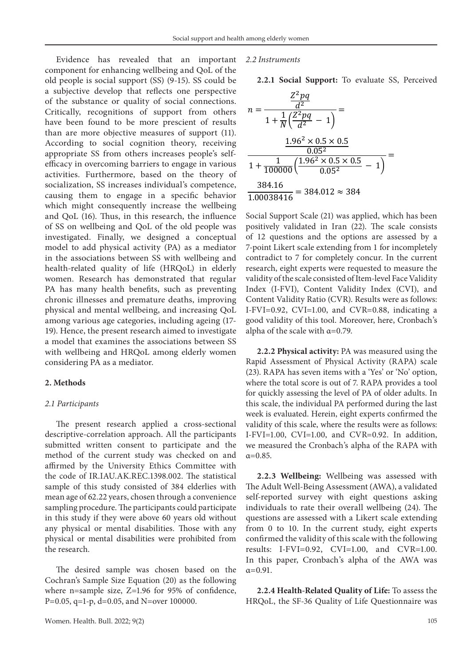Evidence has revealed that an important component for enhancing wellbeing and QoL of the old people is social support (SS) (9-15). SS could be a subjective develop that reflects one perspective of the substance or quality of social connections. Critically, recognitions of support from others have been found to be more prescient of results than are more objective measures of support (11). According to social cognition theory, receiving appropriate SS from others increases people's selfefficacy in overcoming barriers to engage in various activities. Furthermore, based on the theory of socialization, SS increases individual's competence, causing them to engage in a specific behavior which might consequently increase the wellbeing and QoL (16). Thus, in this research, the influence of SS on wellbeing and QoL of the old people was investigated. Finally, we designed a conceptual model to add physical activity (PA) as a mediator in the associations between SS with wellbeing and health-related quality of life (HRQoL) in elderly women. Research has demonstrated that regular PA has many health benefits, such as preventing chronic illnesses and premature deaths, improving physical and mental wellbeing, and increasing QoL among various age categories, including ageing (17- 19). Hence, the present research aimed to investigate a model that examines the associations between SS with wellbeing and HRQoL among elderly women considering PA as a mediator.

#### **2. Methods**

#### *2.1 Participants*

The present research applied a cross-sectional descriptive-correlation approach. All the participants submitted written consent to participate and the method of the current study was checked on and affirmed by the University Ethics Committee with the code of IR.IAU.AK.REC.1398.002. The statistical sample of this study consisted of 384 elderlies with mean age of 62.22 years, chosen through a convenience sampling procedure. The participants could participate in this study if they were above 60 years old without any physical or mental disabilities. Those with any physical or mental disabilities were prohibited from the research.

The desired sample was chosen based on the Cochran's Sample Size Equation (20) as the following where n=sample size, Z=1.96 for 95% of confidence, P=0.05, q=1-p, d=0.05, and N=over 100000.

#### *2.2 Instruments*

**2.2.1 Social Support:** To evaluate SS, Perceived

$$
n = \frac{\frac{Z^2 pq}{d^2}}{1 + \frac{1}{N}(\frac{Z^2 pq}{d^2} - 1)} =
$$
  

$$
\frac{1.96^2 \times 0.5 \times 0.5}{0.05^2}
$$
  

$$
\frac{1}{1 + \frac{1}{100000}(\frac{1.96^2 \times 0.5 \times 0.5}{0.05^2} - 1)} =
$$
  

$$
\frac{384.16}{1.00038416} = 384.012 \approx 384
$$

Social Support Scale (21) was applied, which has been positively validated in Iran (22). The scale consists of 12 questions and the options are assessed by a 7-point Likert scale extending from 1 for incompletely contradict to 7 for completely concur. In the current research, eight experts were requested to measure the validity of the scale consisted of Item-level Face Validity Index (I-FVI), Content Validity Index (CVI), and Content Validity Ratio (CVR). Results were as follows: I-FVI=0.92, CVI=1.00, and CVR=0.88, indicating a good validity of this tool. Moreover, here, Cronbach's alpha of the scale with  $\alpha = 0.79$ .

**2.2.2 Physical activity:** PA was measured using the Rapid Assessment of Physical Activity (RAPA) scale (23). RAPA has seven items with a 'Yes' or 'No' option, where the total score is out of 7. RAPA provides a tool for quickly assessing the level of PA of older adults. In this scale, the individual PA performed during the last week is evaluated. Herein, eight experts confirmed the validity of this scale, where the results were as follows: I-FVI=1.00, CVI=1.00, and CVR=0.92. In addition, we measured the Cronbach's alpha of the RAPA with  $\alpha = 0.85$ .

**2.2.3 Wellbeing:** Wellbeing was assessed with The Adult Well-Being Assessment (AWA), a validated self-reported survey with eight questions asking individuals to rate their overall wellbeing (24). The questions are assessed with a Likert scale extending from 0 to 10. In the current study, eight experts confirmed the validity of this scale with the following results: I-FVI=0.92, CVI=1.00, and CVR=1.00. In this paper, Cronbach's alpha of the AWA was  $α=0.91$ .

**2.2.4 Health-Related Quality of Life:** To assess the HRQoL, the SF-36 Quality of Life Questionnaire was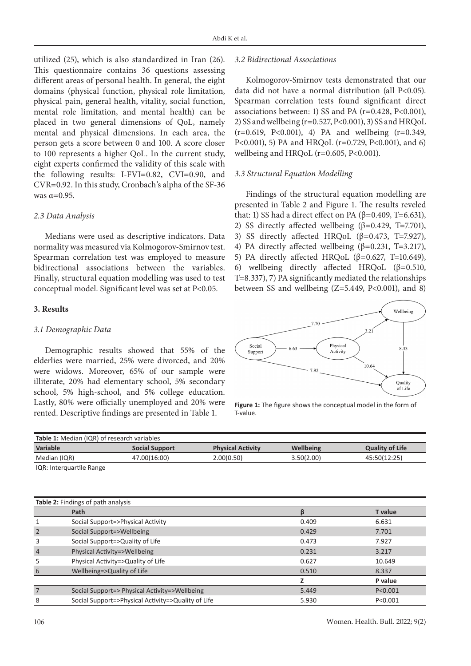utilized (25), which is also standardized in Iran (26). This questionnaire contains 36 questions assessing different areas of personal health. In general, the eight domains (physical function, physical role limitation, physical pain, general health, vitality, social function, mental role limitation, and mental health) can be placed in two general dimensions of QoL, namely mental and physical dimensions. In each area, the person gets a score between 0 and 100. A score closer to 100 represents a higher QoL. In the current study, eight experts confirmed the validity of this scale with the following results: I-FVI=0.82, CVI=0.90, and CVR=0.92. In this study, Cronbach's alpha of the SF-36 was  $\alpha=0.95$ .

#### *2.3 Data Analysis*

Medians were used as descriptive indicators. Data normality was measured via Kolmogorov-Smirnov test. Spearman correlation test was employed to measure bidirectional associations between the variables. Finally, structural equation modelling was used to test conceptual model. Significant level was set at P<0.05.

## **3. Results**

#### *3.1 Demographic Data*

Demographic results showed that 55% of the elderlies were married, 25% were divorced, and 20% were widows. Moreover, 65% of our sample were illiterate, 20% had elementary school, 5% secondary school, 5% high-school, and 5% college education. Lastly, 80% were officially unemployed and 20% were rented. Descriptive findings are presented in Table 1.

#### *3.2 Bidirectional Associations*

Kolmogorov-Smirnov tests demonstrated that our data did not have a normal distribution (all P<0.05). Spearman correlation tests found significant direct associations between: 1) SS and PA (r=0.428, P<0.001), 2) SS and wellbeing (r=0.527, P<0.001), 3) SS and HRQoL  $(r=0.619, P<0.001)$ , 4) PA and wellbeing  $(r=0.349, P<0.001)$ P<0.001), 5) PA and HRQoL (r=0.729, P<0.001), and 6) wellbeing and HRQoL ( $r=0.605$ ,  $P<0.001$ ).

#### *3.3 Structural Equation Modelling*

Findings of the structural equation modelling are presented in Table 2 and Figure 1. The results reveled that: 1) SS had a direct effect on PA (β=0.409, T=6.631), 2) SS directly affected wellbeing  $(β=0.429, T=7.701)$ , 3) SS directly affected HRQoL ( $β=0.473$ , T=7.927), 4) PA directly affected wellbeing  $(β=0.231, T=3.217)$ , 5) PA directly affected HRQoL  $(β=0.627, T=10.649)$ , 6) wellbeing directly affected HRQoL (β=0.510, T=8.337), 7) PA significantly mediated the relationships between SS and wellbeing  $(Z=5.449, P<0.001)$ , and 8)



**Figure 1:** The figure shows the conceptual model in the form of T-value.

| Table 1: Median (IQR) of research variables |                                               |                                                    |                          |                  |                        |
|---------------------------------------------|-----------------------------------------------|----------------------------------------------------|--------------------------|------------------|------------------------|
| <b>Variable</b>                             |                                               | <b>Social Support</b>                              | <b>Physical Activity</b> | <b>Wellbeing</b> | <b>Quality of Life</b> |
| Median (IQR)                                |                                               | 47.00(16:00)                                       | 2.00(0.50)               | 3.50(2.00)       | 45:50(12:25)           |
| IQR: Interquartile Range                    |                                               |                                                    |                          |                  |                        |
|                                             |                                               |                                                    |                          |                  |                        |
|                                             |                                               |                                                    |                          |                  |                        |
| Table 2: Findings of path analysis          |                                               |                                                    |                          |                  |                        |
|                                             |                                               |                                                    |                          |                  |                        |
|                                             | Path                                          |                                                    |                          | β                | <b>T</b> value         |
| 1                                           | Social Support=>Physical Activity             |                                                    |                          | 0.409            | 6.631                  |
| $\overline{2}$                              | Social Support=>Wellbeing                     |                                                    |                          | 0.429            | 7.701                  |
| 3                                           | Social Support=>Quality of Life               |                                                    |                          | 0.473            | 7.927                  |
| $\overline{4}$                              | Physical Activity=>Wellbeing                  |                                                    |                          | 0.231            | 3.217                  |
| 5                                           | Physical Activity=>Quality of Life            |                                                    |                          | 0.627            | 10.649                 |
| 6                                           | Wellbeing=>Quality of Life                    |                                                    |                          | 0.510            | 8.337                  |
|                                             |                                               |                                                    |                          | z                | P value                |
| 7                                           | Social Support=> Physical Activity=>Wellbeing |                                                    |                          | 5.449            | P < 0.001              |
| 8                                           |                                               | Social Support=>Physical Activity=>Quality of Life |                          | 5.930            | P < 0.001              |
|                                             |                                               |                                                    |                          |                  |                        |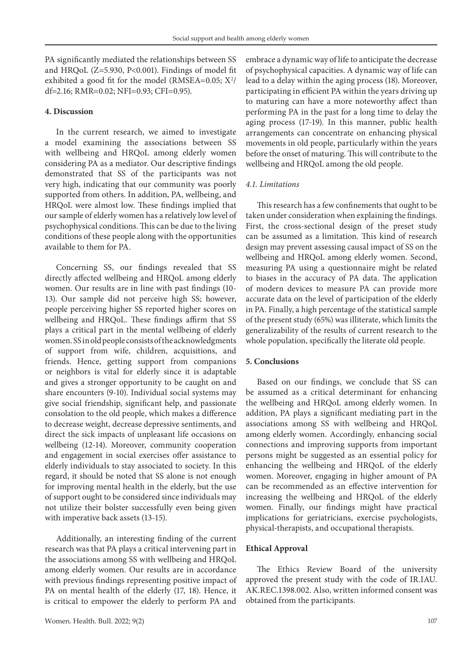PA significantly mediated the relationships between SS and HRQoL (Z=5.930, P<0.001). Findings of model fit exhibited a good fit for the model (RMSEA=0.05;  $X^2/$ df=2.16; RMR=0.02; NFI=0.93; CFI=0.95).

#### **4. Discussion**

In the current research, we aimed to investigate a model examining the associations between SS with wellbeing and HRQoL among elderly women considering PA as a mediator. Our descriptive findings demonstrated that SS of the participants was not very high, indicating that our community was poorly supported from others. In addition, PA, wellbeing, and HRQoL were almost low. These findings implied that our sample of elderly women has a relatively low level of psychophysical conditions. This can be due to the living conditions of these people along with the opportunities available to them for PA.

Concerning SS, our findings revealed that SS directly affected wellbeing and HRQoL among elderly women. Our results are in line with past findings (10- 13). Our sample did not perceive high SS; however, people perceiving higher SS reported higher scores on wellbeing and HRQoL. These findings affirm that SS plays a critical part in the mental wellbeing of elderly women. SS in old people consists of the acknowledgments of support from wife, children, acquisitions, and friends. Hence, getting support from companions or neighbors is vital for elderly since it is adaptable and gives a stronger opportunity to be caught on and share encounters (9-10). Individual social systems may give social friendship, significant help, and passionate consolation to the old people, which makes a difference to decrease weight, decrease depressive sentiments, and direct the sick impacts of unpleasant life occasions on wellbeing (12-14). Moreover, community cooperation and engagement in social exercises offer assistance to elderly individuals to stay associated to society. In this regard, it should be noted that SS alone is not enough for improving mental health in the elderly, but the use of support ought to be considered since individuals may not utilize their bolster successfully even being given with imperative back assets (13-15).

Additionally, an interesting finding of the current research was that PA plays a critical intervening part in the associations among SS with wellbeing and HRQoL among elderly women. Our results are in accordance with previous findings representing positive impact of PA on mental health of the elderly (17, 18). Hence, it is critical to empower the elderly to perform PA and

embrace a dynamic way of life to anticipate the decrease of psychophysical capacities. A dynamic way of life can lead to a delay within the aging process (18). Moreover, participating in efficient PA within the years driving up to maturing can have a more noteworthy affect than performing PA in the past for a long time to delay the aging process (17-19). In this manner, public health arrangements can concentrate on enhancing physical movements in old people, particularly within the years before the onset of maturing. This will contribute to the wellbeing and HRQoL among the old people.

#### *4.1. Limitations*

This research has a few confinements that ought to be taken under consideration when explaining the findings. First, the cross-sectional design of the preset study can be assumed as a limitation. This kind of research design may prevent assessing causal impact of SS on the wellbeing and HRQoL among elderly women. Second, measuring PA using a questionnaire might be related to biases in the accuracy of PA data. The application of modern devices to measure PA can provide more accurate data on the level of participation of the elderly in PA. Finally, a high percentage of the statistical sample of the present study (65%) was illiterate, which limits the generalizability of the results of current research to the whole population, specifically the literate old people.

#### **5. Conclusions**

Based on our findings, we conclude that SS can be assumed as a critical determinant for enhancing the wellbeing and HRQoL among elderly women. In addition, PA plays a significant mediating part in the associations among SS with wellbeing and HRQoL among elderly women. Accordingly, enhancing social connections and improving supports from important persons might be suggested as an essential policy for enhancing the wellbeing and HRQoL of the elderly women. Moreover, engaging in higher amount of PA can be recommended as an effective intervention for increasing the wellbeing and HRQoL of the elderly women. Finally, our findings might have practical implications for geriatricians, exercise psychologists, physical-therapists, and occupational therapists.

#### **Ethical Approval**

The Ethics Review Board of the university approved the present study with the code of IR.IAU. AK.REC.1398.002. Also, written informed consent was obtained from the participants.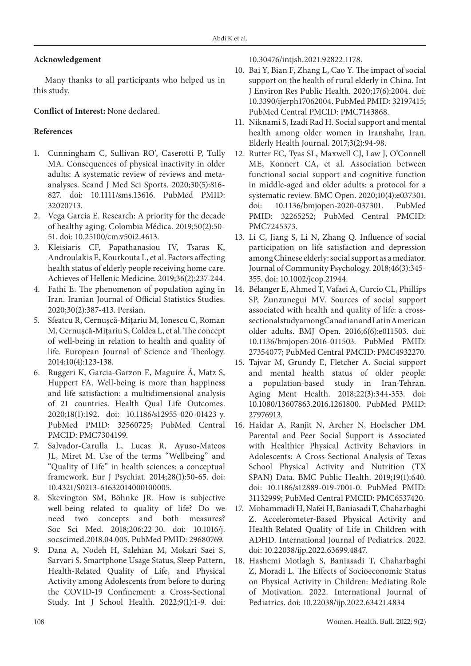## **Acknowledgement**

Many thanks to all participants who helped us in this study.

# **Conflict of Interest:** None declared.

# **References**

- 1. Cunningham C, Sullivan RO', Caserotti P, Tully MA. Consequences of physical inactivity in older adults: A systematic review of reviews and metaanalyses. Scand J Med Sci Sports. 2020;30(5):816- 827. doi: 10.1111/sms.13616. PubMed PMID: 32020713.
- 2. Vega Garcia E. Research: A priority for the decade of healthy aging. Colombia Médica. 2019;50(2):50- 51. doi: 10.25100/cm.v50i2.4613.
- 3. Kleisiaris CF, Papathanasiou IV, Tsaras K, Androulakis E, Kourkouta L, et al. Factors affecting health status of elderly people receiving home care. Achieves of Hellenic Medicine. 2019;36(2):237-244.
- 4. Fathi E. The phenomenon of population aging in Iran. Iranian Journal of Official Statistics Studies. 2020;30(2):387-413. Persian.
- 5. Sfeatcu R, Cernuşcǎ-Miţariu M, Ionescu C, Roman M, Cernuşcǎ-Miţariu S, Coldea L, et al. The concept of well-being in relation to health and quality of life. European Journal of Science and Theology. 2014;10(4):123-138.
- 6. Ruggeri K, Garcia-Garzon E, Maguire Á, Matz S, Huppert FA. Well-being is more than happiness and life satisfaction: a multidimensional analysis of 21 countries. Health Qual Life Outcomes. 2020;18(1):192. doi: 10.1186/s12955-020-01423-y. PubMed PMID: 32560725; PubMed Central PMCID: PMC7304199.
- 7. Salvador-Carulla L, Lucas R, Ayuso-Mateos JL, Miret M. Use of the terms "Wellbeing" and "Quality of Life" in health sciences: a conceptual framework. Eur J Psychiat. 2014;28(1):50-65. doi: 10.4321/S0213-61632014000100005.
- 8. Skevington SM, Böhnke JR. How is subjective well-being related to quality of life? Do we need two concepts and both measures? Soc Sci Med. 2018;206:22-30. doi: 10.1016/j. socscimed.2018.04.005. PubMed PMID: 29680769.
- 9. Dana A, Nodeh H, Salehian M, Mokari Saei S, Sarvari S. Smartphone Usage Status, Sleep Pattern, Health-Related Quality of Life, and Physical Activity among Adolescents from before to during the COVID-19 Confinement: a Cross-Sectional Study. Int J School Health. 2022;9(1):1-9. doi:

10.30476/intjsh.2021.92822.1178.

- 10. Bai Y, Bian F, Zhang L, Cao Y. The impact of social support on the health of rural elderly in China. Int J Environ Res Public Health. 2020;17(6):2004. doi: 10.3390/ijerph17062004. PubMed PMID: 32197415; PubMed Central PMCID: PMC7143868.
- 11. Niknami S, Izadi Rad H. Social support and mental health among older women in Iranshahr, Iran. Elderly Health Journal. 2017;3(2):94-98.
- 12. Rutter EC, Tyas SL, Maxwell CJ, Law J, O'Connell ME, Konnert CA, et al. Association between functional social support and cognitive function in middle-aged and older adults: a protocol for a systematic review. BMC Open. 2020;10(4):e037301. doi: 10.1136/bmjopen-2020-037301. PubMed PMID: 32265252; PubMed Central PMCID: PMC7245373.
- 13. Li C, Jiang S, Li N, Zhang Q. Influence of social participation on life satisfaction and depression among Chinese elderly: social support as a mediator. Journal of Community Psychology. 2018;46(3):345- 355. doi: 10.1002/jcop.21944.
- 14. Bélanger E, Ahmed T, Vafaei A, Curcio CL, Phillips SP, Zunzunegui MV. Sources of social support associated with health and quality of life: a crosssectional study among Canadian and Latin American older adults. BMJ Open. 2016;6(6):e011503. doi: 10.1136/bmjopen-2016-011503. PubMed PMID: 27354077; PubMed Central PMCID: PMC4932270.
- 15. Tajvar M, Grundy E, Fletcher A. Social support and mental health status of older people: a population-based study in Iran-Tehran. Aging Ment Health. 2018;22(3):344-353. doi: 10.1080/13607863.2016.1261800. PubMed PMID: 27976913.
- 16. Haidar A, Ranjit N, Archer N, Hoelscher DM. Parental and Peer Social Support is Associated with Healthier Physical Activity Behaviors in Adolescents: A Cross-Sectional Analysis of Texas School Physical Activity and Nutrition (TX SPAN) Data. BMC Public Health. 2019;19(1):640. doi: 10.1186/s12889-019-7001-0. PubMed PMID: 31132999; PubMed Central PMCID: PMC6537420.
- 17. Mohammadi H, Nafei H, Baniasadi T, Chaharbaghi Z. Accelerometer-Based Physical Activity and Health-Related Quality of Life in Children with ADHD. International Journal of Pediatrics. 2022. doi: 10.22038/ijp.2022.63699.4847.
- 18. Hashemi Motlagh S, Baniasadi T, Chaharbaghi Z, Moradi L. The Effects of Socioeconomic Status on Physical Activity in Children: Mediating Role of Motivation. 2022. International Journal of Pediatrics. doi: 10.22038/ijp.2022.63421.4834